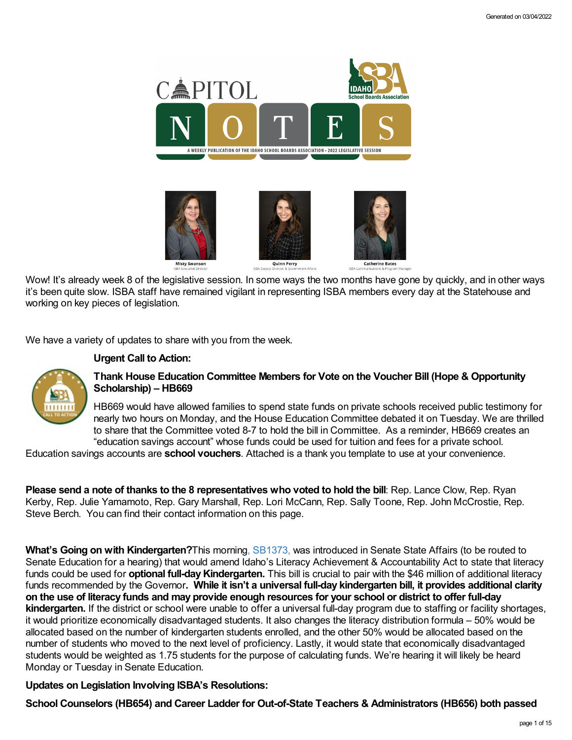

Wow! It's already week 8 of the legislative session. In some ways the two months have gone by quickly, and in other ways it's been quite slow. ISBA staff have remained vigilant in representing ISBA members every day at the Statehouse and working on key pieces of legislation.

We have a variety of updates to share with you from the week.

# **Urgent Call to Action:**



# **Thank House Education Committee Members for Vote on the Voucher Bill (Hope & Opportunity [Scholarship\)](https://legislature.idaho.gov/sessioninfo/2022/legislation/H0669/) – HB669**

HB669 would have allowed families to spend state funds on private schools received public testimony for nearly two hours on Monday, and the House Education Committee debated it on Tuesday. We are thrilled to share that the Committee voted 8-7 to hold the bill in Committee. As a reminder, HB669 creates an "education savings account" whose funds could be used for tuition and fees for a private school.

Education savings accounts are **school vouchers**. Attached is a thank you template to use at your convenience.

**Please send a note of thanks to the 8 representatives who voted to hold the bill**: Rep. Lance Clow, Rep. Ryan Kerby, Rep. Julie Yamamoto, Rep. Gary Marshall, Rep. Lori McCann, Rep. Sally Toone, Rep. John McCrostie, Rep. Steve Berch. You can find their contact information on this [page.](https://legislature.idaho.gov/sessioninfo/2022/standingcommittees/hedu/)

**What's Going on with Kindergarten?**This morning, [SB1373,](https://legislature.idaho.gov/sessioninfo/2022/legislation/S1373/) was introduced in Senate State Affairs (to be routed to Senate Education for a hearing) that would amend Idaho's Literacy Achievement & Accountability Act to state that literacy funds could be used for **optional full-dayKindergarten.** This bill is crucial to pair with the \$46 million of additional literacy funds recommended by the Governor**. While it isn't a universal full-day kindergarten bill, it provides additional clarity** on the use of literacy funds and may provide enough resources for your school or district to offer full-day **kindergarten.** If the district or school were unable to offer a universal full-day program due to staffing or facility shortages, it would prioritize economically disadvantaged students. It also changes the literacy distribution formula – 50% would be allocated based on the number of kindergarten students enrolled, and the other 50% would be allocated based on the number of students who moved to the next level of proficiency. Lastly, it would state that economically disadvantaged students would be weighted as 1.75 students for the purpose of calculating funds. We're hearing it will likely be heard Monday or Tuesday in Senate Education.

# **Updates on Legislation Involving ISBA's Resolutions:**

**School [Counselors](https://legislature.idaho.gov/sessioninfo/2022/legislation/H0654/) (HB654) and Career Ladder for Out-of-State Teachers & [Administrators](https://legislature.idaho.gov/sessioninfo/2022/legislation/H0656/) (HB656) both passed**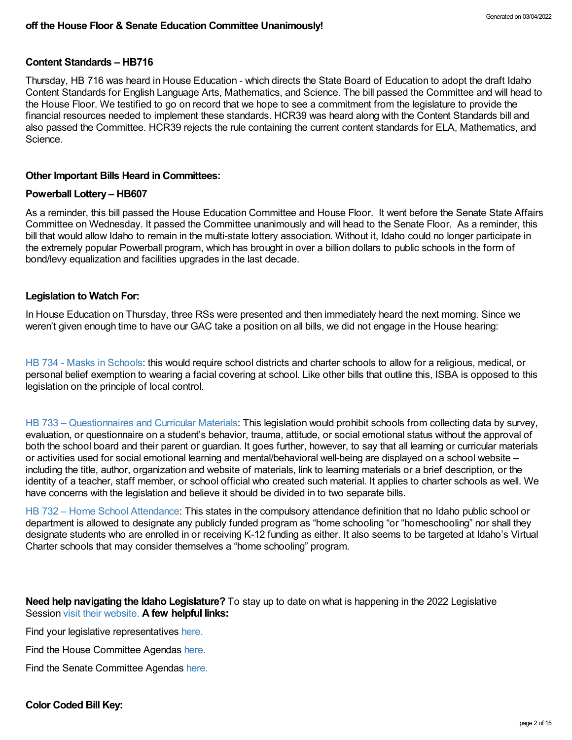#### **Content [Standards](https://legislature.idaho.gov/sessioninfo/2022/legislation/H0716/) – HB716**

Thursday, HB 716 was heard in House Education - which directs the State Board of Education to adopt the draft Idaho Content Standards for English Language Arts, Mathematics, and Science. The bill passed the Committee and will head to the House Floor. We testified to go on record that we hope to see a commitment from the legislature to provide the financial resources needed to implement these standards. [HCR39](https://legislature.idaho.gov/sessioninfo/2022/legislation/HCR039/) was heard along with the Content Standards bill and also passed the Committee. HCR39 rejects the rule containing the current content standards for ELA, Mathematics, and Science.

#### **Other Important Bills Heard in Committees:**

#### **[Powerball](https://legislature.idaho.gov/sessioninfo/2022/legislation/H0607/) Lottery – HB607**

As a reminder, this bill passed the House Education Committee and House Floor. It went before the Senate State Affairs Committee on Wednesday. It passed the Committee unanimously and will head to the Senate Floor. As a reminder, this bill that would allow Idaho to remain in the multi-state lottery association. Without it, Idaho could no longer participate in the extremely popular Powerball program, which has brought in over a billion dollars to public schools in the form of bond/levy equalization and facilities upgrades in the last decade.

#### **Legislation to Watch For:**

In House Education on Thursday, three RSs were presented and then immediately heard the next morning. Since we weren't given enough time to have our GAC take a position on all bills, we did not engage in the House hearing:

HB 734 - Masks in [Schools:](https://legislature.idaho.gov/sessioninfo/2022/legislation/H0734/) this would require school districts and charter schools to allow for a religious, medical, or personal belief exemption to wearing a facial covering at school. Like other bills that outline this, ISBA is opposed to this legislation on the principle of local control.

HB 733 – [Questionnaires](https://legislature.idaho.gov/sessioninfo/2022/legislation/H0733/) and Curricular Materials: This legislation would prohibit schools from collecting data by survey, evaluation, or questionnaire on a student's behavior, trauma, attitude, or social emotional status without the approval of both the school board and their parent or guardian. It goes further, however, to say that all learning or curricular materials or activities used for social emotional learning and mental/behavioral well-being are displayed on a school website – including the title, author, organization and website of materials, link to learning materials or a brief description, or the identity of a teacher, staff member, or school official who created such material. It applies to charter schools as well. We have concerns with the legislation and believe it should be divided in to two separate bills.

HB 732 – Home School [Attendance](https://legislature.idaho.gov/sessioninfo/2022/legislation/H0732/): This states in the compulsory attendance definition that no Idaho public school or department is allowed to designate any publicly funded program as "home schooling "or "homeschooling" nor shall they designate students who are enrolled in or receiving K-12 funding as either. It also seems to be targeted at Idaho's Virtual Charter schools that may consider themselves a "home schooling" program.

### **Need help navigating the Idaho Legislature?** To stay up to date on what is happening in the 2022 Legislative Session visit their [website.](https://legislature.idaho.gov/legislators/whosmylegislator/) **A few helpful links:**

Find your legislative representatives [here.](https://legislature.idaho.gov/legislators/whosmylegislator/)

Find the House Committee Agendas [here.](https://legislature.idaho.gov/sessioninfo/agenda/hagenda/)

Find the Senate Committee Agendas [here.](https://legislature.idaho.gov/sessioninfo/agenda/sagenda/)

### **Color Coded Bill Key:**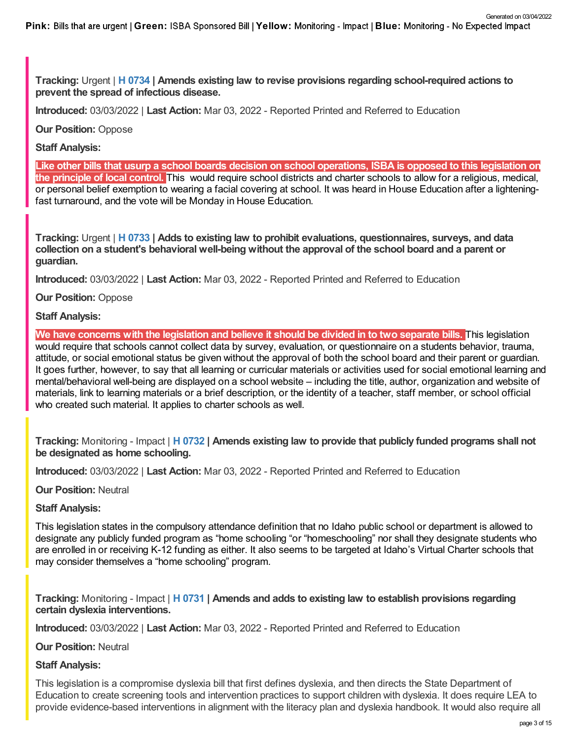**Tracking:** Urgent | **H [0734](https://legislature.idaho.gov/sessioninfo/2022/legislation/H0734/) | Amends existing law to revise provisions regarding school-required actions to prevent the spread of infectious disease.**

**Introduced:** 03/03/2022 | **Last Action:** Mar 03, 2022 - Reported Printed and Referred to Education

**Our Position:** Oppose

## **Staff Analysis:**

Like other bills that usurp a school boards decision on school operations, ISBA is opposed to this legislation on **the principle of local control.** This would require school districts and charter schools to allow for a religious, medical, or personal belief exemption to wearing a facial covering at school. It was heard in House Education after a lighteningfast turnaround, and the vote will be Monday in House Education.

**Tracking:** Urgent | **H [0733](https://legislature.idaho.gov/sessioninfo/2022/legislation/H0733/) | Adds to existing law to prohibit evaluations, questionnaires, surveys, and data collection on a student's behavioral well-being without the approval of the school board and a parent or guardian.**

**Introduced:** 03/03/2022 | **Last Action:** Mar 03, 2022 - Reported Printed and Referred to Education

**Our Position:** Oppose

**Staff Analysis:**

We have concerns with the legislation and believe it should be divided in to two separate bills. This legislation would require that schools cannot collect data by survey, evaluation, or questionnaire on a students behavior, trauma, attitude, or social emotional status be given without the approval of both the school board and their parent or guardian. It goes further, however, to say that all learning or curricular materials or activities used for social emotional learning and mental/behavioral well-being are displayed on a school website – including the title, author, organization and website of materials, link to learning materials or a brief description, or the identity of a teacher, staff member, or school official who created such material. It applies to charter schools as well.

**Tracking:** Monitoring - Impact | **H [0732](https://legislature.idaho.gov/sessioninfo/2022/legislation/H0732/) | Amends existing law to provide that publicly funded programs shall not be designated as home schooling.**

**Introduced:** 03/03/2022 | **Last Action:** Mar 03, 2022 - Reported Printed and Referred to Education

**Our Position:** Neutral

# **Staff Analysis:**

This legislation states in the compulsory attendance definition that no Idaho public school or department is allowed to designate any publicly funded program as "home schooling "or "homeschooling" nor shall they designate students who are enrolled in or receiving K-12 funding as either. It also seems to be targeted at Idaho's Virtual Charter schools that may consider themselves a "home schooling" program.

**Tracking:** Monitoring - Impact | **H [0731](https://legislature.idaho.gov/sessioninfo/2022/legislation/H0731/) | Amends and adds to existing law to establish provisions regarding certain dyslexia interventions.**

**Introduced:** 03/03/2022 | **Last Action:** Mar 03, 2022 - Reported Printed and Referred to Education

**Our Position:** Neutral

# **Staff Analysis:**

This legislation is a compromise dyslexia bill that first defines dyslexia, and then directs the State Department of Education to create screening tools and intervention practices to support children with dyslexia. It does require LEA to provide evidence-based interventions in alignment with the literacy plan and dyslexia handbook. It would also require all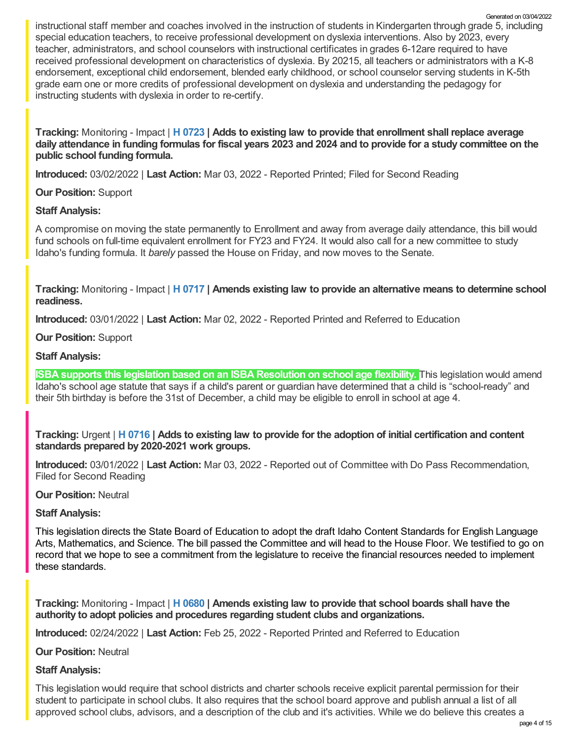instructional staff member and coaches involved in the instruction of students in Kindergarten through grade 5, including special education teachers, to receive professional development on dyslexia interventions. Also by 2023, every teacher, administrators, and school counselors with instructional certificates in grades 6-12are required to have received professional development on characteristics of dyslexia. By 20215, all teachers or administrators with a K-8 endorsement, exceptional child endorsement, blended early childhood, or school counselor serving students in K-5th grade earn one or more credits of professional development on dyslexia and understanding the pedagogy for instructing students with dyslexia in order to re-certify. Generated on 03/04/2022

**Tracking:** Monitoring - Impact | **H [0723](https://legislature.idaho.gov/sessioninfo/2022/legislation/H0723/) | Adds to existing law to provide that enrollment shall replace average** daily attendance in funding formulas for fiscal years 2023 and 2024 and to provide for a study committee on the **public school funding formula.**

**Introduced:** 03/02/2022 | **Last Action:** Mar 03, 2022 - Reported Printed; Filed for Second Reading

**Our Position:** Support

# **Staff Analysis:**

A compromise on moving the state permanently to Enrollment and away from average daily attendance, this bill would fund schools on full-time equivalent enrollment for FY23 and FY24. It would also call for a new committee to study Idaho's funding formula. It *barely* passed the House on Friday, and now moves to the Senate.

**Tracking:** Monitoring - Impact | **H [0717](https://legislature.idaho.gov/sessioninfo/2022/legislation/H0717/) | Amends existing law to provide an alternative means to determine school readiness.**

**Introduced:** 03/01/2022 | **Last Action:** Mar 02, 2022 - Reported Printed and Referred to Education

**Our Position:** Support

# **Staff Analysis:**

**ISBA supports this legislation based on an ISBA Resolution on school age flexibility.** This legislation would amend Idaho's school age statute that says if a child's parent or guardian have determined that a child is "school-ready" and their 5th birthday is before the 31st of December, a child may be eligible to enroll in school at age 4.

Tracking: Urgent | H [0716](https://legislature.idaho.gov/sessioninfo/2022/legislation/H0716/) | Adds to existing law to provide for the adoption of initial certification and content **standards prepared by 2020-2021 work groups.**

**Introduced:** 03/01/2022 | **Last Action:** Mar 03, 2022 - Reported out of Committee with Do Pass Recommendation, Filed for Second Reading

**Our Position:** Neutral

# **Staff Analysis:**

This legislation directs the State Board of Education to adopt the draft Idaho Content Standards for English Language Arts, Mathematics, and Science. The bill passed the Committee and will head to the House Floor. We testified to go on record that we hope to see a commitment from the legislature to receive the financial resources needed to implement these standards.

**Tracking:** Monitoring - Impact | **H [0680](https://legislature.idaho.gov/sessioninfo/2022/legislation/H0680/) | Amends existing law to provide that school boards shall have the authority to adopt policies and procedures regarding student clubs and organizations.**

**Introduced:** 02/24/2022 | **Last Action:** Feb 25, 2022 - Reported Printed and Referred to Education

**Our Position:** Neutral

# **Staff Analysis:**

This legislation would require that school districts and charter schools receive explicit parental permission for their student to participate in school clubs. It also requires that the school board approve and publish annual a list of all approved school clubs, advisors, and a description of the club and it's activities. While we do believe this creates a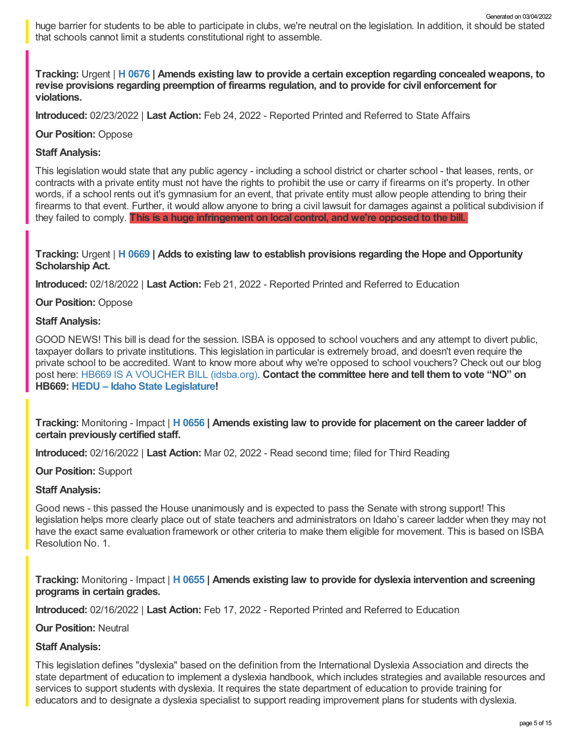huge barrier for students to be able to participate in clubs, we're neutral on the legislation. In addition, it should be stated that schools cannot limit a students constitutional right to assemble. Generated on 03/04/2022

**Tracking:** Urgent | **H [0676](https://legislature.idaho.gov/sessioninfo/2022/legislation/H0676/) | Amends existing law to provide a certain exception regarding concealed weapons, to revise provisions regarding preemption of firearms regulation, and to provide for civil enforcement for violations.**

**Introduced:** 02/23/2022 | **Last Action:** Feb 24, 2022 - Reported Printed and Referred to State Affairs

### **Our Position:** Oppose

## **Staff Analysis:**

This legislation would state that any public agency - including a school district or charter school - that leases, rents, or contracts with a private entity must not have the rights to prohibit the use or carry if firearms on it's property. In other words, if a school rents out it's gymnasium for an event, that private entity must allow people attending to bring their firearms to that event. Further, it would allow anyone to bring a civil lawsuit for damages against a political subdivision if they failed to comply. **This is a huge infringement on local control, and we're opposed to the bill.**

### **Tracking:** Urgent | **H [0669](https://legislature.idaho.gov/sessioninfo/2022/legislation/H0669/) | Adds to existing law to establish provisions regarding the Hope and Opportunity Scholarship Act.**

**Introduced:** 02/18/2022 | **Last Action:** Feb 21, 2022 - Reported Printed and Referred to Education

### **Our Position:** Oppose

### **Staff Analysis:**

GOOD NEWS! This bill is dead for the session. ISBA is opposed to school vouchers and any attempt to divert public, taxpayer dollars to private institutions. This legislation in particular is extremely broad, and doesn't even require the private school to be accredited. Want to know more about why we're opposed to school vouchers? Check out our blog post here: HB669 IS A [VOUCHER](https://www.idsba.org/blog/hb669-is-a-voucher-bill/) BILL (idsba.org). **Contact the committee here and tell them to vote "NO" on HB669: HEDU – Idaho State [Legislature](https://legislature.idaho.gov/sessioninfo/2022/standingcommittees/hedu/#hcode-tab-style2testimony-registration-remote-in-person)!**

**Tracking:** Monitoring - Impact | **H [0656](https://legislature.idaho.gov/sessioninfo/2022/legislation/H0656/) | Amends existing law to provide for placement on the career ladder of certain previously certified staff.**

**Introduced:** 02/16/2022 | **Last Action:** Mar 02, 2022 - Read second time; filed for Third Reading

**Our Position:** Support

# **Staff Analysis:**

Good news - this passed the House unanimously and is expected to pass the Senate with strong support! This legislation helps more clearly place out of state teachers and administrators on Idaho's career ladder when they may not have the exact same evaluation framework or other criteria to make them eligible for movement. This is based on ISBA Resolution No. 1.

**Tracking:** Monitoring - Impact | **H [0655](https://legislature.idaho.gov/sessioninfo/2022/legislation/H0655/) | Amends existing law to provide for dyslexia intervention and screening programs in certain grades.**

**Introduced:** 02/16/2022 | **Last Action:** Feb 17, 2022 - Reported Printed and Referred to Education

### **Our Position:** Neutral

# **Staff Analysis:**

This legislation defines "dyslexia" based on the definition from the International Dyslexia Association and directs the state department of education to implement a dyslexia handbook, which includes strategies and available resources and services to support students with dyslexia. It requires the state department of education to provide training for educators and to designate a dyslexia specialist to support reading improvement plans for students with dyslexia.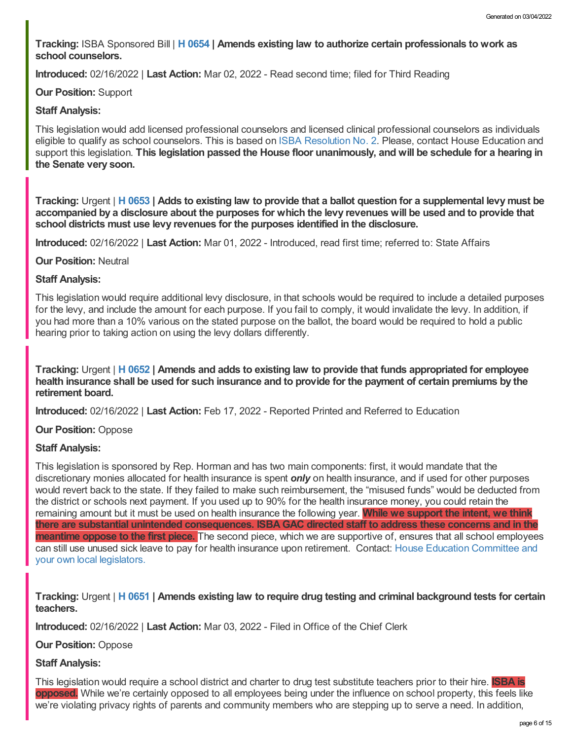**Tracking:** ISBA Sponsored Bill | **H [0654](https://legislature.idaho.gov/sessioninfo/2022/legislation/H0654/) | Amends existing law to authorize certain professionals to work as school counselors.**

**Introduced:** 02/16/2022 | **Last Action:** Mar 02, 2022 - Read second time; filed for Third Reading

### **Our Position:** Support

### **Staff Analysis:**

This legislation would add licensed professional counselors and licensed clinical professional counselors as individuals eligible to qualify as school counselors. This is based on ISBA [Resolution](https://www.idsba.org/wp-content/uploads/2021/12/02-Hiring-Flexibility-on-Licensed-Counselors.pdf) No. 2. Please, contact House Education and support this legislation. **This legislation passed the House floor unanimously, and will be schedule for a hearing in the Senate very soon.**

Tracking: Urgent | H [0653](https://legislature.idaho.gov/sessioninfo/2022/legislation/H0653/) | Adds to existing law to provide that a ballot question for a supplemental levy must be accompanied by a disclosure about the purposes for which the levy revenues will be used and to provide that **school districts must use levy revenues for the purposes identified in the disclosure.**

**Introduced:** 02/16/2022 | **Last Action:** Mar 01, 2022 - Introduced, read first time; referred to: State Affairs

### **Our Position:** Neutral

### **Staff Analysis:**

This legislation would require additional levy disclosure, in that schools would be required to include a detailed purposes for the levy, and include the amount for each purpose. If you fail to comply, it would invalidate the levy. In addition, if you had more than a 10% various on the stated purpose on the ballot, the board would be required to hold a public hearing prior to taking action on using the levy dollars differently.

Tracking: Urgent | H [0652](https://legislature.idaho.gov/sessioninfo/2022/legislation/H0652/) | Amends and adds to existing law to provide that funds appropriated for employee health insurance shall be used for such insurance and to provide for the payment of certain premiums by the **retirement board.**

**Introduced:** 02/16/2022 | **Last Action:** Feb 17, 2022 - Reported Printed and Referred to Education

### **Our Position:** Oppose

### **Staff Analysis:**

This legislation is sponsored by Rep. Horman and has two main components: first, it would mandate that the discretionary monies allocated for health insurance is spent *only* on health insurance, and if used for other purposes would revert back to the state. If they failed to make such reimbursement, the "misused funds" would be deducted from the district or schools next payment. If you used up to 90% for the health insurance money, you could retain the remaining amount but it must be used on health insurance the following year. **While we support the intent, we think there are substantial unintended consequences. ISBAGAC directed staff to address these concerns and in the meantime oppose to the first piece.** The second piece, which we are supportive of, ensures that all school employees can still use unused sick leave to pay for health insurance upon retirement. Contact: House Education [Committee](https://legislature.idaho.gov/sessioninfo/2022/standingcommittees/HEDU/) and your own local legislators.

Tracking: Urgent | H [0651](https://legislature.idaho.gov/sessioninfo/2022/legislation/H0651/) | Amends existing law to reguire drug testing and criminal background tests for certain **teachers.**

**Introduced:** 02/16/2022 | **Last Action:** Mar 03, 2022 - Filed in Office of the Chief Clerk

**Our Position:** Oppose

# **Staff Analysis:**

This legislation would require a school district and charter to drug test substitute teachers prior to their hire. **ISBA is opposed.** While we're certainly opposed to all employees being under the influence on school property, this feels like we're violating privacy rights of parents and community members who are stepping up to serve a need. In addition,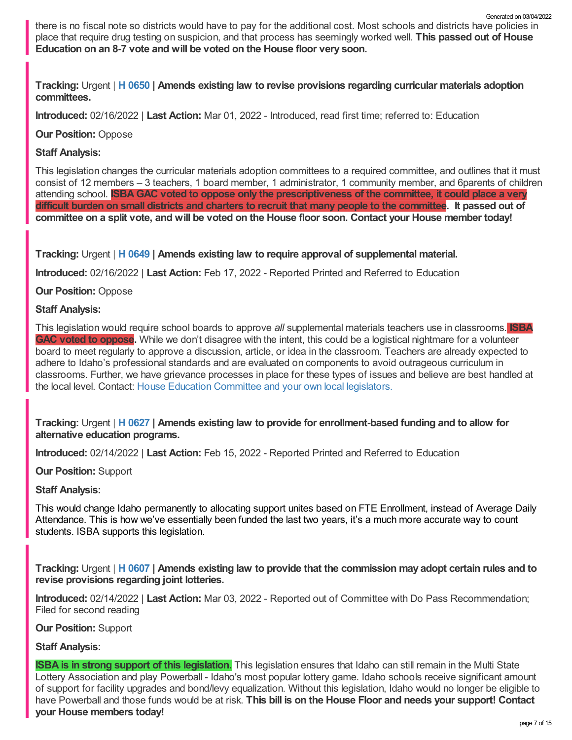there is no fiscal note so districts would have to pay for the additional cost. Most schools and districts have policies in place that require drug testing on suspicion, and that process has seemingly worked well. **This passed out of House Education on an 8-7 vote and will be voted on the House floor very soon.**

**Tracking:** Urgent | **H [0650](https://legislature.idaho.gov/sessioninfo/2022/legislation/H0650/) | Amends existing law to revise provisions regarding curricular materials adoption committees.**

**Introduced:** 02/16/2022 | **Last Action:** Mar 01, 2022 - Introduced, read first time; referred to: Education

**Our Position:** Oppose

# **Staff Analysis:**

This legislation changes the curricular materials adoption committees to a required committee, and outlines that it must consist of 12 members – 3 teachers, 1 board member, 1 administrator, 1 community member, and 6parents of children attending school. **ISBAGAC voted to oppose only the prescriptiveness of the committee, it could place a very** difficult burden on small districts and charters to recruit that many people to the committee. It passed out of committee on a split vote, and will be voted on the House floor soon. Contact your House member today!

**Tracking:** Urgent | **H [0649](https://legislature.idaho.gov/sessioninfo/2022/legislation/H0649/) | Amends existing law to require approval of supplemental material.**

**Introduced:** 02/16/2022 | **Last Action:** Feb 17, 2022 - Reported Printed and Referred to Education

**Our Position:** Oppose

### **Staff Analysis:**

This legislation would require school boards to approve *all* supplemental materials teachers use in classrooms. **ISBA GAC voted to oppose.** While we don't disagree with the intent, this could be a logistical nightmare for a volunteer board to meet regularly to approve a discussion, article, or idea in the classroom. Teachers are already expected to adhere to Idaho's professional standards and are evaluated on components to avoid outrageous curriculum in classrooms. Further, we have grievance processes in place for these types of issues and believe are best handled at the local level. Contact: House Education [Committee](https://legislature.idaho.gov/sessioninfo/2022/standingcommittees/HEDU/) and your own local legislators.

**Tracking:** Urgent | **H [0627](https://legislature.idaho.gov/sessioninfo/2022/legislation/H0627/) | Amends existing law to provide for enrollment-based funding and to allow for alternative education programs.**

**Introduced:** 02/14/2022 | **Last Action:** Feb 15, 2022 - Reported Printed and Referred to Education

**Our Position:** Support

# **Staff Analysis:**

This would change Idaho permanently to allocating support unites based on FTE Enrollment, instead of Average Daily Attendance. This is how we've essentially been funded the last two years, it's a much more accurate way to count students. ISBA supports this legislation.

Tracking: Urgent | H [0607](https://legislature.idaho.gov/sessioninfo/2022/legislation/H0607/) | Amends existing law to provide that the commission may adopt certain rules and to **revise provisions regarding joint lotteries.**

**Introduced:** 02/14/2022 | **Last Action:** Mar 03, 2022 - Reported out of Committee with Do Pass Recommendation; Filed for second reading

**Our Position:** Support

### **Staff Analysis:**

**ISBA is in strong support of this legislation.** This legislation ensures that Idaho can still remain in the Multi State Lottery Association and play Powerball - Idaho's most popular lottery game. Idaho schools receive significant amount of support for facility upgrades and bond/levy equalization. Without this legislation, Idaho would no longer be eligible to have Powerball and those funds would be at risk. **This bill is on the House Floor and needs your support! Contact your House members today!**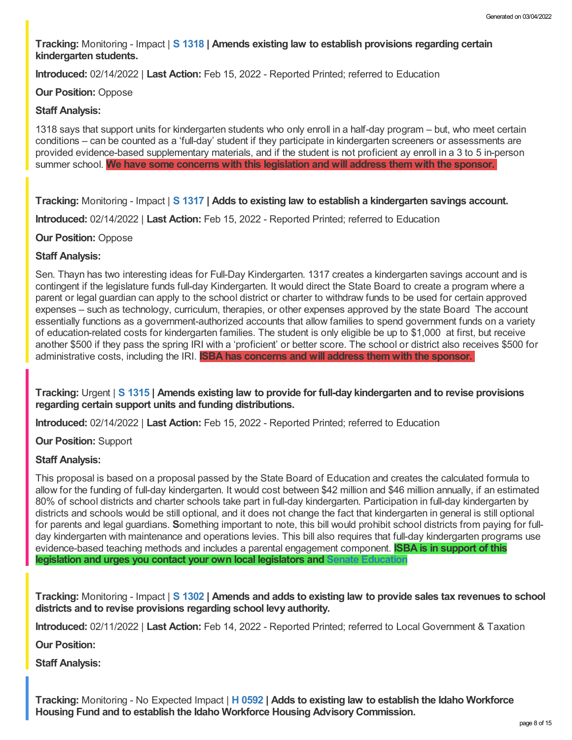**Tracking:** Monitoring - Impact | **S [1318](https://legislature.idaho.gov/sessioninfo/2022/legislation/S1318/) | Amends existing law to establish provisions regarding certain kindergarten students.**

**Introduced:** 02/14/2022 | **Last Action:** Feb 15, 2022 - Reported Printed; referred to Education

### **Our Position:** Oppose

### **Staff Analysis:**

1318 says that support units for kindergarten students who only enroll in a half-day program – but, who meet certain conditions – can be counted as a 'full-day' student if they participate in kindergarten screeners or assessments are provided evidence-based supplementary materials, and if the student is not proficient ay enroll in a 3 to 5 in-person summer school. **We have some concerns with this legislation and will address them with the sponsor.**

**Tracking:** Monitoring - Impact | **S [1317](https://legislature.idaho.gov/sessioninfo/2022/legislation/S1317/) | Adds to existing law to establish a kindergarten savings account.**

**Introduced:** 02/14/2022 | **Last Action:** Feb 15, 2022 - Reported Printed; referred to Education

### **Our Position:** Oppose

### **Staff Analysis:**

Sen. Thayn has two interesting ideas for Full-Day Kindergarten. 1317 creates a kindergarten savings account and is contingent if the legislature funds full-day Kindergarten. It would direct the State Board to create a program where a parent or legal guardian can apply to the school district or charter to withdraw funds to be used for certain approved expenses – such as technology, curriculum, therapies, or other expenses approved by the state Board The account essentially functions as a government-authorized accounts that allow families to spend government funds on a variety of education-related costs for kindergarten families. The student is only eligible be up to \$1,000 at first, but receive another \$500 if they pass the spring IRI with a 'proficient' or better score. The school or district also receives \$500 for administrative costs, including the IRI. **ISBA has concerns and will address them with the sponsor.**

**Tracking:** Urgent | **S [1315](https://legislature.idaho.gov/sessioninfo/2022/legislation/S1315/) | Amends existing law to provide for full-day kindergarten and to revise provisions regarding certain support units and funding distributions.**

**Introduced:** 02/14/2022 | **Last Action:** Feb 15, 2022 - Reported Printed; referred to Education

**Our Position:** Support

# **Staff Analysis:**

This proposal is based on a proposal passed by the State Board of Education and creates the calculated formula to allow for the funding of full-day kindergarten. It would cost between \$42 million and \$46 million annually, if an estimated 80% of school districts and charter schools take part in full-day kindergarten. Participation in full-day kindergarten by districts and schools would be still optional, and it does not change the fact that kindergarten in general is still optional for parents and legal guardians. **S**omething important to note, this bill would prohibit school districts from paying for fullday kindergarten with maintenance and operations levies. This bill also requires that full-day kindergarten programs use evidence-based teaching methods and includes a parental engagement component. **ISBA is in support of this legislation and urges you contact your own local legislators and Senate [Education](https://legislature.idaho.gov/sessioninfo/2022/standingcommittees/SEDU/)**

Tracking: Monitoring - Impact | S [1302](https://legislature.idaho.gov/sessioninfo/2022/legislation/S1302/) | Amends and adds to existing law to provide sales tax revenues to school **districts and to revise provisions regarding school levy authority.**

**Introduced:** 02/11/2022 | **Last Action:** Feb 14, 2022 - Reported Printed; referred to Local Government & Taxation

**Our Position:**

**Staff Analysis:**

**Tracking:** Monitoring - No Expected Impact | **H [0592](https://legislature.idaho.gov/sessioninfo/2022/legislation/H0592/) | Adds to existing law to establish the Idaho Workforce Housing Fund and to establish the Idaho Workforce Housing AdvisoryCommission.**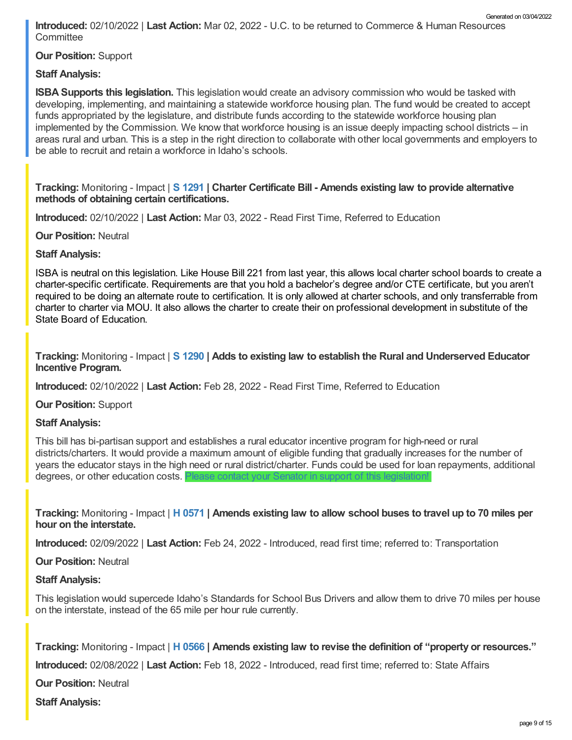**Introduced:** 02/10/2022 | **Last Action:** Mar 02, 2022 - U.C. to be returned to Commerce & Human Resources **Committee** Generated on 03/04/2022

**Our Position:** Support

# **Staff Analysis:**

**ISBA Supports this legislation.** This legislation would create an advisory commission who would be tasked with developing, implementing, and maintaining a statewide workforce housing plan. The fund would be created to accept funds appropriated by the legislature, and distribute funds according to the statewide workforce housing plan implemented by the Commission. We know that workforce housing is an issue deeply impacting school districts – in areas rural and urban. This is a step in the right direction to collaborate with other local governments and employers to be able to recruit and retain a workforce in Idaho's schools.

### **Tracking:** Monitoring - Impact | **S [1291](https://legislature.idaho.gov/sessioninfo/2022/legislation/S1291/) | Charter Certificate Bill - Amends existing law to provide alternative methods of obtaining certain certifications.**

**Introduced:** 02/10/2022 | **Last Action:** Mar 03, 2022 - Read First Time, Referred to Education

**Our Position:** Neutral

**Staff Analysis:**

ISBA is neutral on this legislation. Like House Bill 221 from last year, this allows local charter school boards to create a charter-specific certificate. Requirements are that you hold a bachelor's degree and/or CTE certificate, but you aren't required to be doing an alternate route to certification. It is only allowed at charter schools, and only transferrable from charter to charter via MOU. It also allows the charter to create their on professional development in substitute of the State Board of Education.

**Tracking:** Monitoring - Impact | **S [1290](https://legislature.idaho.gov/sessioninfo/2022/legislation/S1290/) | Adds to existing law to establish the Rural and Underserved Educator Incentive Program.**

**Introduced:** 02/10/2022 | **Last Action:** Feb 28, 2022 - Read First Time, Referred to Education

**Our Position:** Support

### **Staff Analysis:**

This bill has bi-partisan support and establishes a rural educator incentive program for high-need or rural districts/charters. It would provide a maximum amount of eligible funding that gradually increases for the number of years the educator stays in the high need or rural district/charter. Funds could be used for loan repayments, additional degrees, or other education costs. Please contact your Senator in support of this [legislation!](https://legislature.idaho.gov/sessioninfo/2022/standingcommittees/SEDU/)

Tracking: Monitoring - Impact | H [0571](https://legislature.idaho.gov/sessioninfo/2022/legislation/H0571/) | Amends existing law to allow school buses to travel up to 70 miles per **hour on the interstate.**

**Introduced:** 02/09/2022 | **Last Action:** Feb 24, 2022 - Introduced, read first time; referred to: Transportation

**Our Position:** Neutral

### **Staff Analysis:**

This legislation would supercede Idaho's Standards for School Bus Drivers and allow them to drive 70 miles per house on the interstate, instead of the 65 mile per hour rule currently.

**Tracking:** Monitoring - Impact | **H [0566](https://legislature.idaho.gov/sessioninfo/2022/legislation/H0566/) | Amends existing law to revise the definition of "property or resources."**

**Introduced:** 02/08/2022 | **Last Action:** Feb 18, 2022 - Introduced, read first time; referred to: State Affairs

**Our Position:** Neutral

**Staff Analysis:**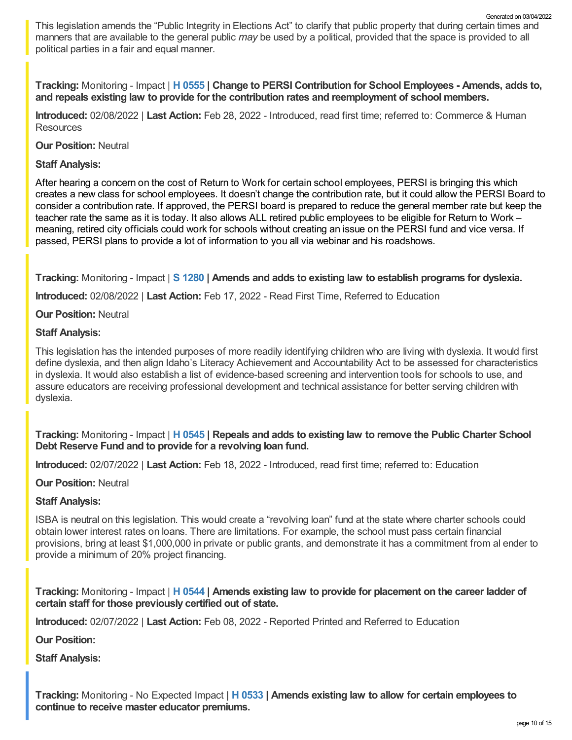This legislation amends the "Public Integrity in Elections Act" to clarify that public property that during certain times and manners that are available to the general public *may* be used by a political, provided that the space is provided to all political parties in a fair and equal manner.

**Tracking:** Monitoring - Impact | **H [0555](https://legislature.idaho.gov/sessioninfo/2022/legislation/H0555/) | Change to PERSI Contribution for School Employees - Amends, adds to, and repeals existing law to provide for the contribution rates and reemployment of school members.**

**Introduced:** 02/08/2022 | **Last Action:** Feb 28, 2022 - Introduced, read first time; referred to: Commerce & Human **Resources** 

**Our Position:** Neutral

**Staff Analysis:**

After hearing a concern on the cost of Return to Work for certain school employees, PERSI is bringing this which creates a new class for school employees. It doesn't change the contribution rate, but it could allow the PERSI Board to consider a contribution rate. If approved, the PERSI board is prepared to reduce the general member rate but keep the teacher rate the same as it is today. It also allows ALL retired public employees to be eligible for Return to Work – meaning, retired city officials could work for schools without creating an issue on the PERSI fund and vice versa. If passed, PERSI plans to provide a lot of information to you all via webinar and his roadshows.

**Tracking:** Monitoring - Impact | **S [1280](https://legislature.idaho.gov/sessioninfo/2022/legislation/S1280/) | Amends and adds to existing law to establish programs for dyslexia.**

**Introduced:** 02/08/2022 | **Last Action:** Feb 17, 2022 - Read First Time, Referred to Education

**Our Position:** Neutral

#### **Staff Analysis:**

This legislation has the intended purposes of more readily identifying children who are living with dyslexia. It would first define dyslexia, and then align Idaho's Literacy Achievement and Accountability Act to be assessed for characteristics in dyslexia. It would also establish a list of evidence-based screening and intervention tools for schools to use, and assure educators are receiving professional development and technical assistance for better serving children with dyslexia.

**Tracking:** Monitoring - Impact | **H [0545](https://legislature.idaho.gov/sessioninfo/2022/legislation/H0545/) | Repeals and adds to existing law to remove the Public Charter School Debt Reserve Fund and to provide for a revolving loan fund.**

**Introduced:** 02/07/2022 | **Last Action:** Feb 18, 2022 - Introduced, read first time; referred to: Education

**Our Position:** Neutral

### **Staff Analysis:**

ISBA is neutral on this legislation. This would create a "revolving loan" fund at the state where charter schools could obtain lower interest rates on loans. There are limitations. For example, the school must pass certain financial provisions, bring at least \$1,000,000 in private or public grants, and demonstrate it has a commitment from al ender to provide a minimum of 20% project financing.

**Tracking:** Monitoring - Impact | **H [0544](https://legislature.idaho.gov/sessioninfo/2022/legislation/H0544/) | Amends existing law to provide for placement on the career ladder of certain staff for those previously certified out of state.**

**Introduced:** 02/07/2022 | **Last Action:** Feb 08, 2022 - Reported Printed and Referred to Education

**Our Position:**

**Staff Analysis:**

**Tracking:** Monitoring - No Expected Impact | **H [0533](https://legislature.idaho.gov/sessioninfo/2022/legislation/H0533/) | Amends existing law to allow for certain employees to continue to receive master educator premiums.**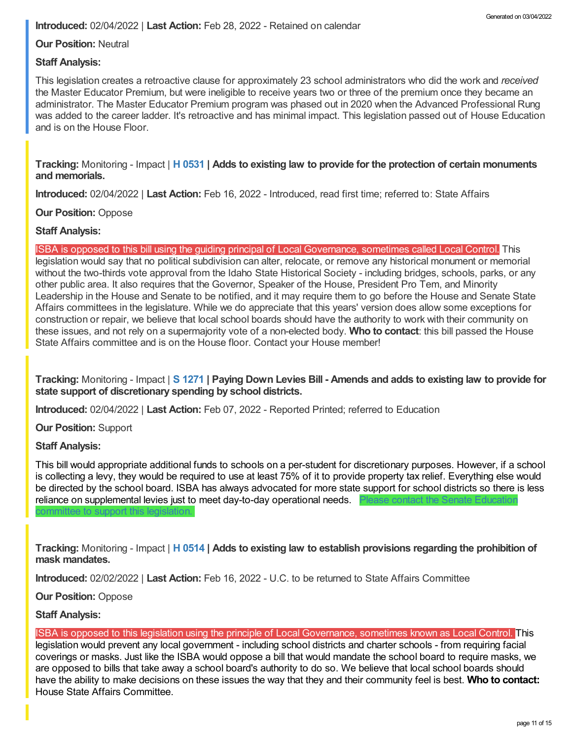**Our Position:** Neutral

### **Staff Analysis:**

This legislation creates a retroactive clause for approximately 23 school administrators who did the work and *received* the Master Educator Premium, but were ineligible to receive years two or three of the premium once they became an administrator. The Master Educator Premium program was phased out in 2020 when the Advanced Professional Rung was added to the career ladder. It's retroactive and has minimal impact. This legislation passed out of House Education and is on the House Floor.

**Tracking:** Monitoring - Impact | **H [0531](https://legislature.idaho.gov/sessioninfo/2022/legislation/H0531/) | Adds to existing law to provide for the protection of certain monuments and memorials.**

**Introduced:** 02/04/2022 | **Last Action:** Feb 16, 2022 - Introduced, read first time; referred to: State Affairs

**Our Position:** Oppose

### **Staff Analysis:**

ISBA is opposed to this bill using the guiding principal of Local Governance, sometimes called Local Control. This

legislation would say that no political subdivision can alter, relocate, or remove any historical monument or memorial without the two-thirds vote approval from the Idaho State Historical Society - including bridges, schools, parks, or any other public area. It also requires that the Governor, Speaker of the House, President Pro Tem, and Minority Leadership in the House and Senate to be notified, and it may require them to go before the House and Senate State Affairs committees in the legislature. While we do appreciate that this years' version does allow some exceptions for construction or repair, we believe that local school boards should have the authority to work with their community on these issues, and not rely on a supermajority vote of a non-elected body. **Who to contact**: this bill passed the House State Affairs committee and is on the House floor. Contact your House member!

Tracking: Monitoring - Impact | S [1271](https://legislature.idaho.gov/sessioninfo/2022/legislation/S1271/) | Paying Down Levies Bill - Amends and adds to existing law to provide for **state support of discretionary spending by school districts.**

**Introduced:** 02/04/2022 | **Last Action:** Feb 07, 2022 - Reported Printed; referred to Education

**Our Position:** Support

### **Staff Analysis:**

This bill would appropriate additional funds to schools on a per-student for discretionary purposes. However, if a school is collecting a levy, they would be required to use at least 75% of it to provide property tax relief. Everything else would be directed by the school board. ISBA has always advocated for more state support for school districts so there is less reliance on [supplemental](https://legislature.idaho.gov/sessioninfo/2022/standingcommittees/SEDU/) levies just to meet day-to-day operational needs. Please contact the Senate Education

**Tracking:** Monitoring - Impact | **H [0514](https://legislature.idaho.gov/sessioninfo/2022/legislation/H0514/) | Adds to existing law to establish provisions regarding the prohibition of mask mandates.**

**Introduced:** 02/02/2022 | **Last Action:** Feb 16, 2022 - U.C. to be returned to State Affairs Committee

**Our Position:** Oppose

mmittee to support this legislation

**Staff Analysis:**

ISBA is opposed to this legislation using the principle of Local Governance, sometimes known as Local Control. This legislation would prevent any local government - including school districts and charter schools - from requiring facial coverings or masks. Just like the ISBA would oppose a bill that would mandate the school board to require masks, we are opposed to bills that take away a school board's authority to do so. We believe that local school boards should have the ability to make decisions on these issues the way that they and their community feel is best. **Who to contact:** House State Affairs [Committee.](https://legislature.idaho.gov/sessioninfo/2022/standingcommittees/HSTA/)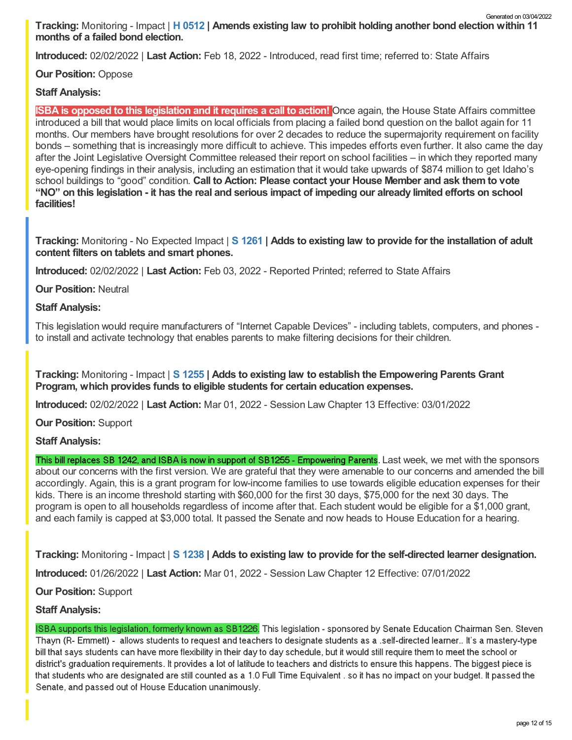**Tracking:** Monitoring - Impact | **H [0512](https://legislature.idaho.gov/sessioninfo/2022/legislation/H0512/) | Amends existing law to prohibit holding another bond election within 11 months of a failed bond election.** Generated on 03/04/2022

**Introduced:** 02/02/2022 | **Last Action:** Feb 18, 2022 - Introduced, read first time; referred to: State Affairs

## **Our Position:** Oppose

### **Staff Analysis:**

**ISBA is opposed to this legislation and it requires a call to action!** Once again, the House State Affairs committee introduced a bill that would place limits on local officials from placing a failed bond question on the ballot again for 11 months. Our members have brought resolutions for over 2 decades to reduce the supermajority requirement on facility bonds – something that is increasingly more difficult to achieve. This impedes efforts even further. It also came the day after the Joint Legislative Oversight Committee released their report on school facilities – in which they reported many eye-opening findings in their analysis, including an estimation that it would take upwards of \$874 million to get Idaho's school buildings to "good" condition. **Call to Action: Please contact your House Member and ask them to vote** "NO" on this legislation - it has the real and serious impact of impeding our already limited efforts on school **facilities!**

**Tracking:** Monitoring - No Expected Impact | **S [1261](https://legislature.idaho.gov/sessioninfo/2022/legislation/S1261/) | Adds to existing law to provide for the installation of adult content filters on tablets and smart phones.**

**Introduced:** 02/02/2022 | **Last Action:** Feb 03, 2022 - Reported Printed; referred to State Affairs

**Our Position:** Neutral

### **Staff Analysis:**

This legislation would require manufacturers of "Internet Capable Devices" - including tablets, computers, and phones to install and activate technology that enables parents to make filtering decisions for their children.

**Tracking:** Monitoring - Impact | **S [1255](https://legislature.idaho.gov/sessioninfo/2022/legislation/S1255/) | Adds to existing law to establish the Empowering Parents Grant Program, which provides funds to eligible students for certain education expenses.**

**Introduced:** 02/02/2022 | **Last Action:** Mar 01, 2022 - Session Law Chapter 13 Effective: 03/01/2022

**Our Position:** Support

**Staff Analysis:**

This bill replaces SB 1242, and ISBA is now in support of SB1255 - Empowering Parents. Last week, we met with the sponsors about our concerns with the first version. We are grateful that they were amenable to our concerns and amended the bill accordingly. Again, this is a grant program for low-income families to use towards eligible education expenses for their kids. There is an income threshold starting with \$60,000 for the first 30 days, \$75,000 for the next 30 days. The program is open to all households regardless of income after that. Each student would be eligible for a \$1,000 grant, and each family is capped at \$3,000 total. It passed the Senate and now heads to House Education for a hearing.

**Tracking:** Monitoring - Impact | **S [1238](https://legislature.idaho.gov/sessioninfo/2022/legislation/S1238/) | Adds to existing law to provide for the self-directed learner designation.**

**Introduced:** 01/26/2022 | **Last Action:** Mar 01, 2022 - Session Law Chapter 12 Effective: 07/01/2022

**Our Position:** Support

### **Staff Analysis:**

ISBA supports this legislation, formerly known as SB1226. This legislation - sponsored by Senate Education Chairman Sen. Steven Thayn (R- Emmett) - allows students to request and teachers to designate students as a .self-directed learner.. It's a mastery-type bill that says students can have more flexibility in their day to day schedule, but it would still require them to meet the school or district's graduation requirements. It provides a lot of latitude to teachers and districts to ensure this happens. The biggest piece is that students who are designated are still counted as a 1.0 Full Time Equivalent , so it has no impact on your budget. It passed the Senate, and passed out of House Education unanimously.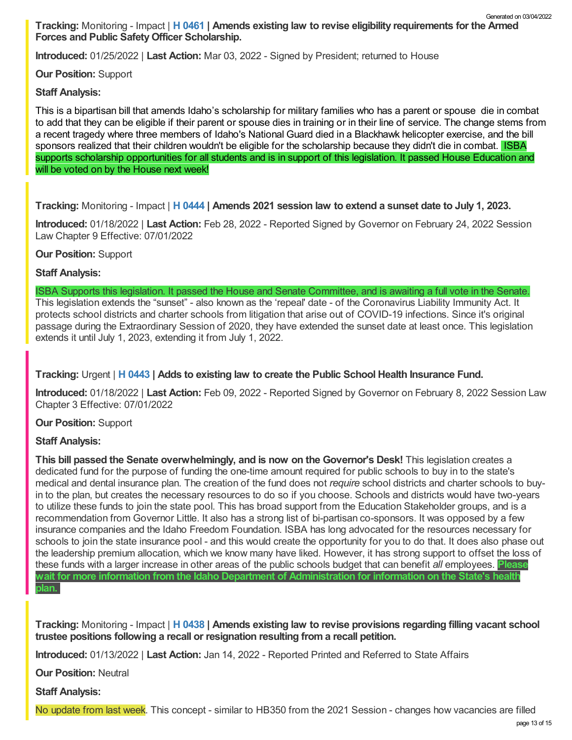**Introduced:** 01/25/2022 | **Last Action:** Mar 03, 2022 - Signed by President; returned to House

**Our Position:** Support

**Staff Analysis:**

This is a bipartisan bill that amends Idaho's scholarship for military families who has a parent or spouse die in combat to add that they can be eligible if their parent or spouse dies in training or in their line of service. The change stems from a recent tragedy where three members of Idaho's National Guard died in a Blackhawk helicopter exercise, and the bill sponsors realized that their children wouldn't be eligible for the scholarship because they didn't die in combat. ISBA supports scholarship opportunities for all students and is in support of this legislation. It passed House Education and will be voted on by the House next week!

**Tracking:** Monitoring - Impact | **H [0444](https://legislature.idaho.gov/sessioninfo/2022/legislation/H0444/) | Amends 2021 session law to extend a sunset date to July 1, 2023.**

**Introduced:** 01/18/2022 | **Last Action:** Feb 28, 2022 - Reported Signed by Governor on February 24, 2022 Session Law Chapter 9 Effective: 07/01/2022

**Our Position:** Support

**Staff Analysis:**

ISBA Supports this legislation. It passed the House and Senate Committee, and is awaiting a full vote in the Senate. This legislation extends the "sunset" - also known as the 'repeal' date - of the Coronavirus Liability Immunity Act. It protects school districts and charter schools from litigation that arise out of COVID-19 infections. Since it's original passage during the Extraordinary Session of 2020, they have extended the sunset date at least once. This legislation extends it until July 1, 2023, extending it from July 1, 2022.

**Tracking:** Urgent | **H [0443](https://legislature.idaho.gov/sessioninfo/2022/legislation/H0443/) | Adds to existing law to create the Public School Health Insurance Fund.**

**Introduced:** 01/18/2022 | **Last Action:** Feb 09, 2022 - Reported Signed by Governor on February 8, 2022 Session Law Chapter 3 Effective: 07/01/2022

# **Our Position:** Support

# **Staff Analysis:**

**This bill passed the Senate overwhelmingly, and is now on the Governor's Desk!** This legislation creates a dedicated fund for the purpose of funding the one-time amount required for public schools to buy in to the state's medical and dental insurance plan. The creation of the fund does not *require* school districts and charter schools to buyin to the plan, but creates the necessary resources to do so if you choose. Schools and districts would have two-years to utilize these funds to join the state pool. This has broad support from the Education Stakeholder groups, and is a recommendation from Governor Little. It also has a strong list of bi-partisan co-sponsors. It was opposed by a few insurance companies and the Idaho Freedom Foundation. ISBA has long advocated for the resources necessary for schools to join the state insurance pool - and this would create the opportunity for you to do that. It does also phase out the leadership premium allocation, which we know many have liked. However, it has strong support to offset the loss of these funds with a larger increase in other areas of the public schools budget that can benefit *all* employees. **Please wait for more information from the Idaho Department of Administration for information on the State's health plan.**

**Tracking:** Monitoring - Impact | **H [0438](https://legislature.idaho.gov/sessioninfo/2022/legislation/H0438/) | Amends existing law to revise provisions regarding filling vacant school trustee positions following a recall or resignation resulting from a recall petition.**

**Introduced:** 01/13/2022 | **Last Action:** Jan 14, 2022 - Reported Printed and Referred to State Affairs

**Our Position:** Neutral

**Staff Analysis:**

No update from last week. This concept - similar to HB350 from the 2021 Session - changes how vacancies are filled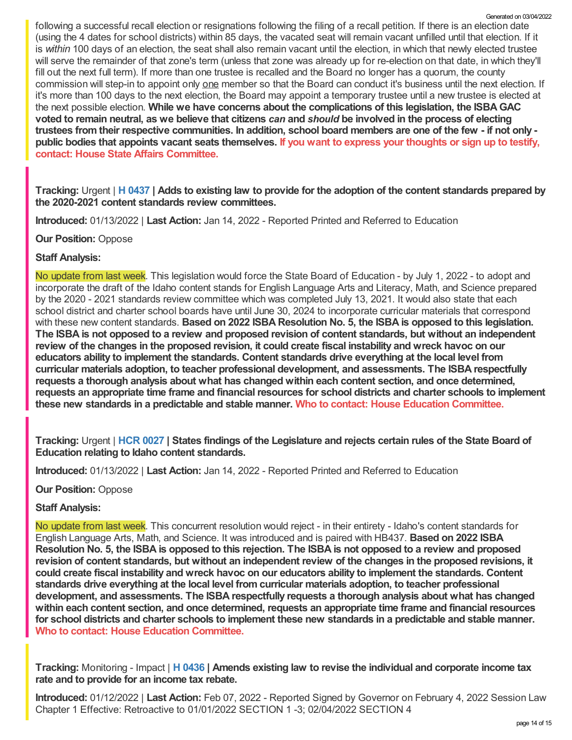following a successful recall election or resignations following the filing of a recall petition. If there is an election date (using the 4 dates for school districts) within 85 days, the vacated seat will remain vacant unfilled until that election. If it is *within* 100 days of an election, the seat shall also remain vacant until the election, in which that newly elected trustee will serve the remainder of that zone's term (unless that zone was already up for re-election on that date, in which they'll fill out the next full term). If more than one trustee is recalled and the Board no longer has a quorum, the county commission will step-in to appoint only one member so that the Board can conduct it's business until the next election. If it's more than 100 days to the next election, the Board may appoint a temporary trustee until a new trustee is elected at the next possible election. **While we have concerns about the complications of this legislation, the ISBAGAC** voted to remain neutral, as we believe that citizens can and should be involved in the process of electing trustees from their respective communities. In addition, school board members are one of the few - if not only public bodies that appoints vacant seats themselves. If you want to express your thoughts or sign up to testify, **contact: House State Affairs [Committee.](https://legislature.idaho.gov/sessioninfo/2022/standingcommittees/HSTA/)**

Tracking: Urgent | H [0437](https://legislature.idaho.gov/sessioninfo/2022/legislation/H0437/) | Adds to existing law to provide for the adoption of the content standards prepared by **the 2020-2021 content standards review committees.**

**Introduced:** 01/13/2022 | **Last Action:** Jan 14, 2022 - Reported Printed and Referred to Education

**Our Position:** Oppose

### **Staff Analysis:**

No update from last week. This legislation would force the State Board of Education - by July 1, 2022 - to adopt and incorporate the draft of the Idaho content stands for English Language Arts and Literacy, Math, and Science prepared by the 2020 - 2021 standards review committee which was completed July 13, 2021. It would also state that each school district and charter school boards have until June 30, 2024 to incorporate curricular materials that correspond with these new content standards. **Based on 2022 ISBA Resolution No. 5, the ISBA is opposed to this legislation.** The ISBA is not opposed to a review and proposed revision of content standards, but without an independent review of the changes in the proposed revision, it could create fiscal instability and wreck havoc on our **educators ability to implement the standards. Content standards drive everything at the local level from curricular materials adoption, to teacher professional development, and assessments. The ISBA respectfully requests a thorough analysis about what has changed within each content section, and once determined, requests an appropriate time frame and financial resources for school districts and charter schools to implement these new standards in a predictable and stable manner. Who to contact: House Education [Committee.](https://legislature.idaho.gov/sessioninfo/2022/standingcommittees/HEDU/)**

Tracking: Urgent | HCR [0027](https://legislature.idaho.gov/sessioninfo/2022/legislation/HCR027/) | States findings of the Legislature and rejects certain rules of the State Board of **Education relating to Idaho content standards.**

**Introduced:** 01/13/2022 | **Last Action:** Jan 14, 2022 - Reported Printed and Referred to Education

**Our Position:** Oppose

### **Staff Analysis:**

No update from last week. This concurrent resolution would reject - in their entirety - Idaho's content standards for English Language Arts, Math, and Science. It was introduced and is paired with HB437. **Based on 2022 ISBA** Resolution No. 5, the ISBA is opposed to this rejection. The ISBA is not opposed to a review and proposed revision of content standards, but without an independent review of the changes in the proposed revisions. it **could create fiscal instability and wreck havoc on our educators ability to implement the standards. Content standards drive everything at the local level from curricular materials adoption, to teacher professional development, and assessments. The ISBA respectfully requests a thorough analysis about what has changed within each content section, and once determined, requests an appropriate time frame and financial resources** for school districts and charter schools to implement these new standards in a predictable and stable manner.<br>Who to contact: House Education [Committee](https://legislature.idaho.gov/sessioninfo/2022/standingcommittees/HEDU/).

**Tracking:** Monitoring - Impact | **H [0436](https://legislature.idaho.gov/sessioninfo/2022/legislation/H0436/) | Amends existing law to revise the individual and corporate income tax rate and to provide for an income tax rebate.**

**Introduced:** 01/12/2022 | **Last Action:** Feb 07, 2022 - Reported Signed by Governor on February 4, 2022 Session Law Chapter 1 Effective: Retroactive to 01/01/2022 SECTION 1 -3; 02/04/2022 SECTION 4